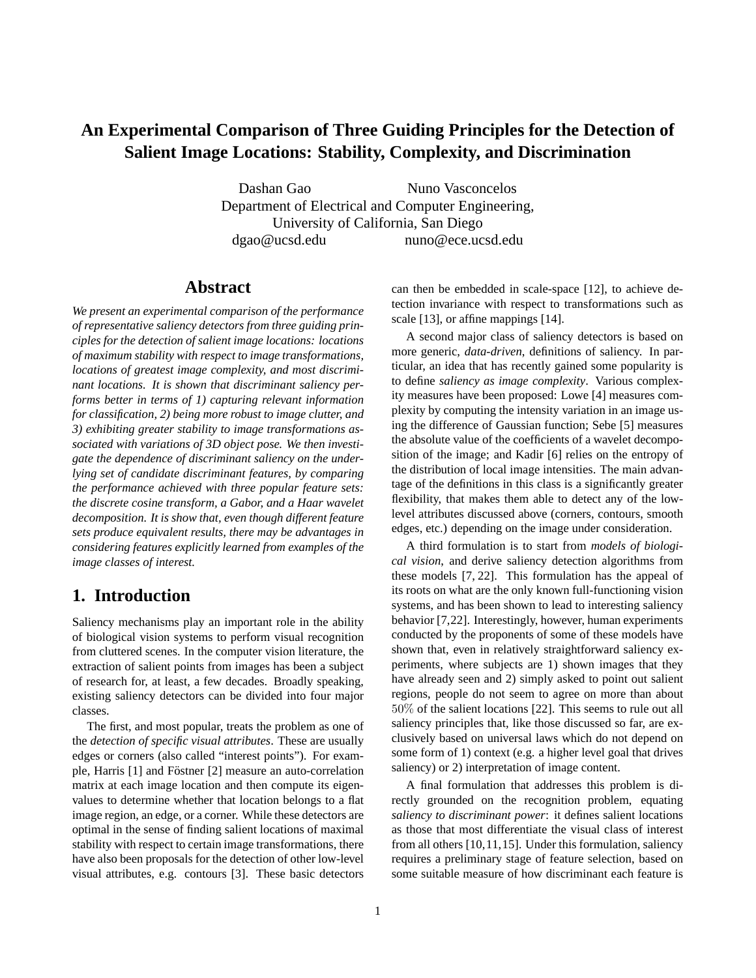# **An Experimental Comparison of Three Guiding Principles for the Detection of Salient Image Locations: Stability, Complexity, and Discrimination**

Dashan Gao Nuno Vasconcelos Department of Electrical and Computer Engineering, University of California, San Diego dgao@ucsd.edu nuno@ece.ucsd.edu

## **Abstract**

*We present an experimental comparison of the performance of representative saliency detectors from three guiding principles for the detection of salient image locations: locations of maximum stability with respect to image transformations, locations of greatest image complexity, and most discriminant locations. It is shown that discriminant saliency performs better in terms of 1) capturing relevant information for classification, 2) being more robust to image clutter, and 3) exhibiting greater stability to image transformations associated with variations of 3D object pose. We then investigate the dependence of discriminant saliency on the underlying set of candidate discriminant features, by comparing the performance achieved with three popular feature sets: the discrete cosine transform, a Gabor, and a Haar wavelet decomposition. It is show that, even though different feature sets produce equivalent results, there may be advantages in considering features explicitly learned from examples of the image classes of interest.*

# **1. Introduction**

Saliency mechanisms play an important role in the ability of biological vision systems to perform visual recognition from cluttered scenes. In the computer vision literature, the extraction of salient points from images has been a subject of research for, at least, a few decades. Broadly speaking, existing saliency detectors can be divided into four major classes.

The first, and most popular, treats the problem as one of the *detection of specific visual attributes*. These are usually edges or corners (also called "interest points"). For example, Harris [1] and Föstner [2] measure an auto-correlation matrix at each image location and then compute its eigenvalues to determine whether that location belongs to a flat image region, an edge, or a corner. While these detectors are optimal in the sense of finding salient locations of maximal stability with respect to certain image transformations, there have also been proposals for the detection of other low-level visual attributes, e.g. contours [3]. These basic detectors can then be embedded in scale-space [12], to achieve detection invariance with respect to transformations such as scale [13], or affine mappings [14].

A second major class of saliency detectors is based on more generic, *data-driven*, definitions of saliency. In particular, an idea that has recently gained some popularity is to define *saliency as image complexity*. Various complexity measures have been proposed: Lowe [4] measures complexity by computing the intensity variation in an image using the difference of Gaussian function; Sebe [5] measures the absolute value of the coefficients of a wavelet decomposition of the image; and Kadir [6] relies on the entropy of the distribution of local image intensities. The main advantage of the definitions in this class is a significantly greater flexibility, that makes them able to detect any of the lowlevel attributes discussed above (corners, contours, smooth edges, etc.) depending on the image under consideration.

A third formulation is to start from *models of biological vision*, and derive saliency detection algorithms from these models [7, 22]. This formulation has the appeal of its roots on what are the only known full-functioning vision systems, and has been shown to lead to interesting saliency behavior [7,22]. Interestingly, however, human experiments conducted by the proponents of some of these models have shown that, even in relatively straightforward saliency experiments, where subjects are 1) shown images that they have already seen and 2) simply asked to point out salient regions, people do not seem to agree on more than about 50% of the salient locations [22]. This seems to rule out all saliency principles that, like those discussed so far, are exclusively based on universal laws which do not depend on some form of 1) context (e.g. a higher level goal that drives saliency) or 2) interpretation of image content.

A final formulation that addresses this problem is directly grounded on the recognition problem, equating *saliency to discriminant power*: it defines salient locations as those that most differentiate the visual class of interest from all others [10,11,15]. Under this formulation, saliency requires a preliminary stage of feature selection, based on some suitable measure of how discriminant each feature is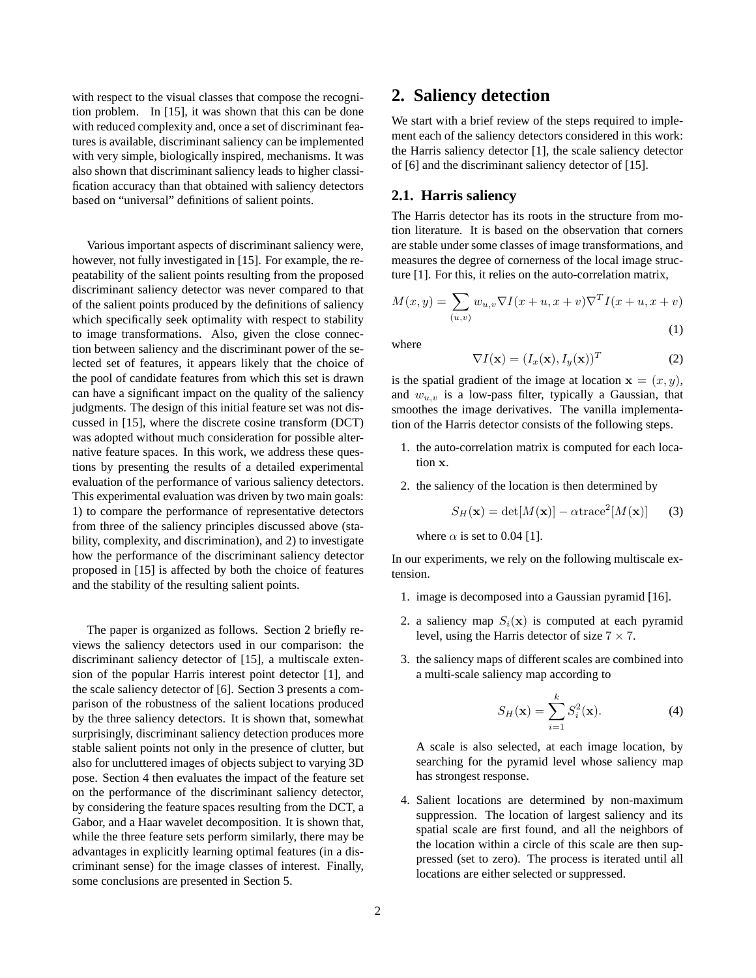with respect to the visual classes that compose the recognition problem. In [15], it was shown that this can be done with reduced complexity and, once a set of discriminant features is available, discriminant saliency can be implemented with very simple, biologically inspired, mechanisms. It was also shown that discriminant saliency leads to higher classification accuracy than that obtained with saliency detectors based on "universal" definitions of salient points.

Various important aspects of discriminant saliency were, however, not fully investigated in [15]. For example, the repeatability of the salient points resulting from the proposed discriminant saliency detector was never compared to that of the salient points produced by the definitions of saliency which specifically seek optimality with respect to stability to image transformations. Also, given the close connection between saliency and the discriminant power of the selected set of features, it appears likely that the choice of the pool of candidate features from which this set is drawn can have a significant impact on the quality of the saliency judgments. The design of this initial feature set was not discussed in [15], where the discrete cosine transform (DCT) was adopted without much consideration for possible alternative feature spaces. In this work, we address these questions by presenting the results of a detailed experimental evaluation of the performance of various saliency detectors. This experimental evaluation was driven by two main goals: 1) to compare the performance of representative detectors from three of the saliency principles discussed above (stability, complexity, and discrimination), and 2) to investigate how the performance of the discriminant saliency detector proposed in [15] is affected by both the choice of features and the stability of the resulting salient points.

The paper is organized as follows. Section 2 briefly reviews the saliency detectors used in our comparison: the discriminant saliency detector of [15], a multiscale extension of the popular Harris interest point detector [1], and the scale saliency detector of [6]. Section 3 presents a comparison of the robustness of the salient locations produced by the three saliency detectors. It is shown that, somewhat surprisingly, discriminant saliency detection produces more stable salient points not only in the presence of clutter, but also for uncluttered images of objects subject to varying 3D pose. Section 4 then evaluates the impact of the feature set on the performance of the discriminant saliency detector, by considering the feature spaces resulting from the DCT, a Gabor, and a Haar wavelet decomposition. It is shown that, while the three feature sets perform similarly, there may be advantages in explicitly learning optimal features (in a discriminant sense) for the image classes of interest. Finally, some conclusions are presented in Section 5.

## **2. Saliency detection**

We start with a brief review of the steps required to implement each of the saliency detectors considered in this work: the Harris saliency detector [1], the scale saliency detector of [6] and the discriminant saliency detector of [15].

#### **2.1. Harris saliency**

The Harris detector has its roots in the structure from motion literature. It is based on the observation that corners are stable under some classes of image transformations, and measures the degree of cornerness of the local image structure [1]. For this, it relies on the auto-correlation matrix,

$$
M(x,y) = \sum_{(u,v)} w_{u,v} \nabla I(x+u, x+v) \nabla^T I(x+u, x+v)
$$
\n(1)

where

$$
\nabla I(\mathbf{x}) = (I_x(\mathbf{x}), I_y(\mathbf{x}))^T
$$
 (2)

is the spatial gradient of the image at location  $\mathbf{x} = (x, y)$ , and  $w_{u,v}$  is a low-pass filter, typically a Gaussian, that smoothes the image derivatives. The vanilla implementation of the Harris detector consists of the following steps.

- 1. the auto-correlation matrix is computed for each location x.
- 2. the saliency of the location is then determined by

$$
S_H(\mathbf{x}) = \det[M(\mathbf{x})] - \alpha \text{trace}^2[M(\mathbf{x})] \qquad (3)
$$

where  $\alpha$  is set to 0.04 [1].

In our experiments, we rely on the following multiscale extension.

- 1. image is decomposed into a Gaussian pyramid [16].
- 2. a saliency map  $S_i(\mathbf{x})$  is computed at each pyramid level, using the Harris detector of size  $7 \times 7$ .
- 3. the saliency maps of different scales are combined into a multi-scale saliency map according to

$$
S_H(\mathbf{x}) = \sum_{i=1}^k S_i^2(\mathbf{x}).
$$
 (4)

A scale is also selected, at each image location, by searching for the pyramid level whose saliency map has strongest response.

4. Salient locations are determined by non-maximum suppression. The location of largest saliency and its spatial scale are first found, and all the neighbors of the location within a circle of this scale are then suppressed (set to zero). The process is iterated until all locations are either selected or suppressed.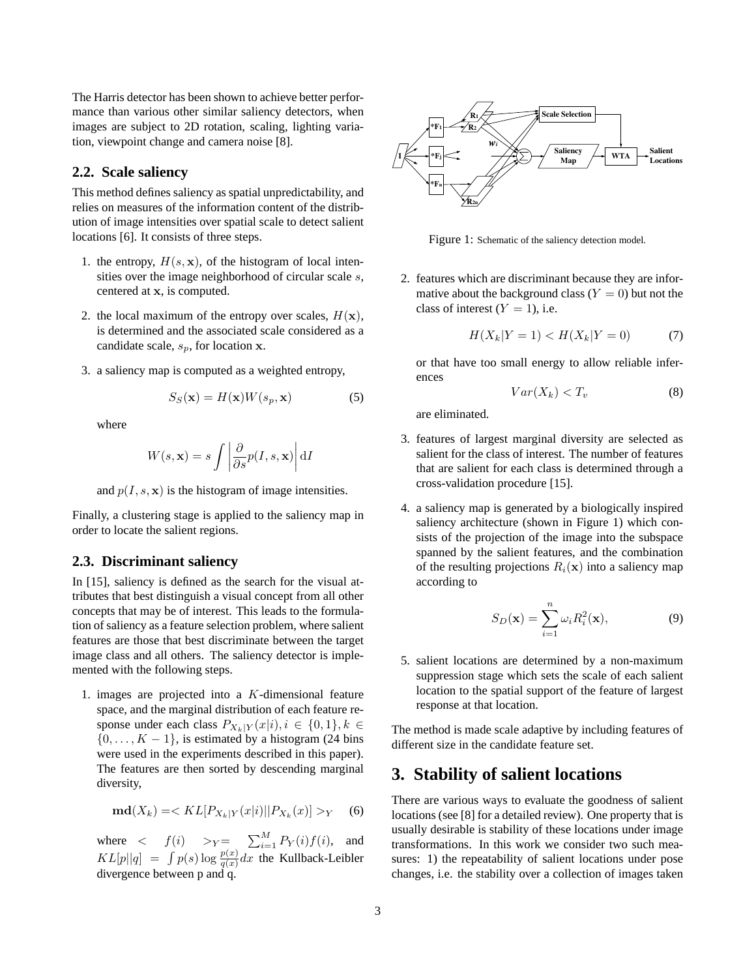The Harris detector has been shown to achieve better performance than various other similar saliency detectors, when images are subject to 2D rotation, scaling, lighting variation, viewpoint change and camera noise [8].

### **2.2. Scale saliency**

This method defines saliency as spatial unpredictability, and relies on measures of the information content of the distribution of image intensities over spatial scale to detect salient locations [6]. It consists of three steps.

- 1. the entropy,  $H(s, \mathbf{x})$ , of the histogram of local intensities over the image neighborhood of circular scale s, centered at x, is computed.
- 2. the local maximum of the entropy over scales,  $H(\mathbf{x})$ , is determined and the associated scale considered as a candidate scale,  $s_p$ , for location x.
- 3. a saliency map is computed as a weighted entropy,

$$
S_S(\mathbf{x}) = H(\mathbf{x})W(s_p, \mathbf{x})
$$
 (5)

where

$$
W(s, \mathbf{x}) = s \int \left| \frac{\partial}{\partial s} p(I, s, \mathbf{x}) \right| dI
$$

and  $p(I, s, x)$  is the histogram of image intensities.

Finally, a clustering stage is applied to the saliency map in order to locate the salient regions.

#### **2.3. Discriminant saliency**

In [15], saliency is defined as the search for the visual attributes that best distinguish a visual concept from all other concepts that may be of interest. This leads to the formulation of saliency as a feature selection problem, where salient features are those that best discriminate between the target image class and all others. The saliency detector is implemented with the following steps.

1. images are projected into a  $K$ -dimensional feature space, and the marginal distribution of each feature response under each class  $P_{X_k|Y}(x|i), i \in \{0,1\}, k \in$  $\{0, \ldots, K-1\}$ , is estimated by a histogram (24 bins were used in the experiments described in this paper). The features are then sorted by descending marginal diversity,

$$
\mathbf{md}(X_k) = \langle KL[P_{X_k|Y}(x|i) || P_{X_k}(x)] \rangle_Y \tag{6}
$$

where  $\langle f(i) \rangle >_Y = \sum_{i=1}^M P_Y(i) f(i)$ , and  $KL[p||q] = \int p(s) \log \frac{p(x)}{q(x)} dx$  the Kullback-Leibler divergence between p and q.



Figure 1: Schematic of the saliency detection model.

2. features which are discriminant because they are informative about the background class  $(Y = 0)$  but not the class of interest  $(Y = 1)$ , i.e.

$$
H(X_k|Y=1) < H(X_k|Y=0) \tag{7}
$$

or that have too small energy to allow reliable inferences

$$
Var(X_k) < T_v \tag{8}
$$

are eliminated.

- 3. features of largest marginal diversity are selected as salient for the class of interest. The number of features that are salient for each class is determined through a cross-validation procedure [15].
- 4. a saliency map is generated by a biologically inspired saliency architecture (shown in Figure 1) which consists of the projection of the image into the subspace spanned by the salient features, and the combination of the resulting projections  $R_i(\mathbf{x})$  into a saliency map according to

$$
S_D(\mathbf{x}) = \sum_{i=1}^n \omega_i R_i^2(\mathbf{x}),\tag{9}
$$

5. salient locations are determined by a non-maximum suppression stage which sets the scale of each salient location to the spatial support of the feature of largest response at that location.

The method is made scale adaptive by including features of different size in the candidate feature set.

## **3. Stability of salient locations**

There are various ways to evaluate the goodness of salient locations (see [8] for a detailed review). One property that is usually desirable is stability of these locations under image transformations. In this work we consider two such measures: 1) the repeatability of salient locations under pose changes, i.e. the stability over a collection of images taken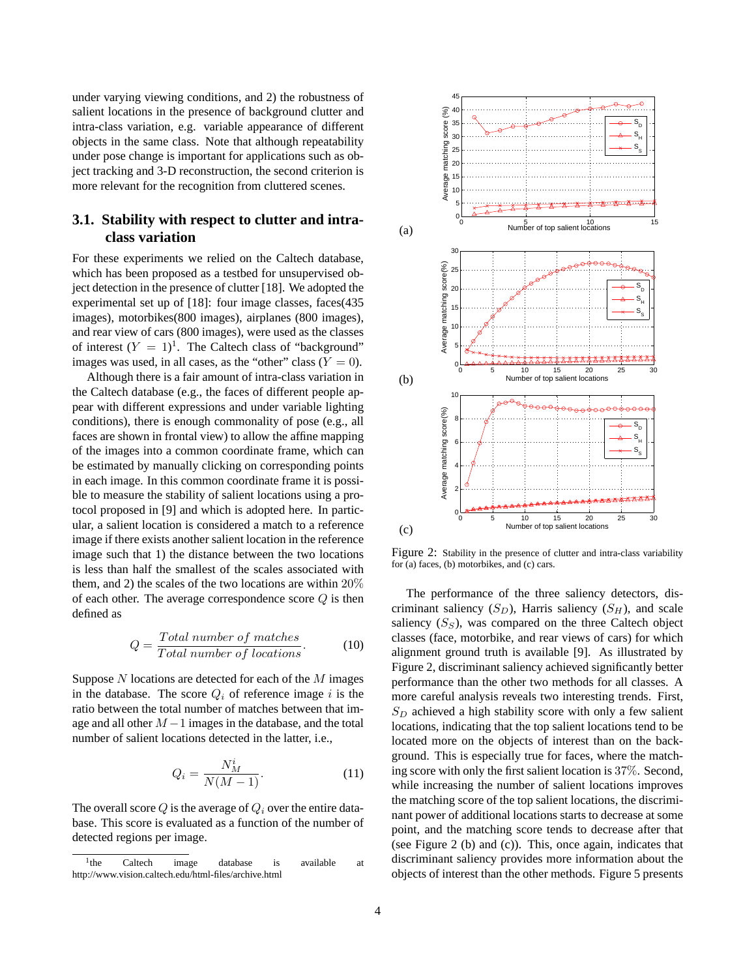under varying viewing conditions, and 2) the robustness of salient locations in the presence of background clutter and intra-class variation, e.g. variable appearance of different objects in the same class. Note that although repeatability under pose change is important for applications such as object tracking and 3-D reconstruction, the second criterion is more relevant for the recognition from cluttered scenes.

## **3.1. Stability with respect to clutter and intraclass variation**

For these experiments we relied on the Caltech database, which has been proposed as a testbed for unsupervised object detection in the presence of clutter [18]. We adopted the experimental set up of [18]: four image classes, faces(435 images), motorbikes(800 images), airplanes (800 images), and rear view of cars (800 images), were used as the classes of interest  $(Y = 1)^1$ . The Caltech class of "background" images was used, in all cases, as the "other" class  $(Y = 0)$ .

Although there is a fair amount of intra-class variation in the Caltech database (e.g., the faces of different people appear with different expressions and under variable lighting conditions), there is enough commonality of pose (e.g., all faces are shown in frontal view) to allow the affine mapping of the images into a common coordinate frame, which can be estimated by manually clicking on corresponding points in each image. In this common coordinate frame it is possible to measure the stability of salient locations using a protocol proposed in [9] and which is adopted here. In particular, a salient location is considered a match to a reference image if there exists another salient location in the reference image such that 1) the distance between the two locations is less than half the smallest of the scales associated with them, and 2) the scales of the two locations are within 20% of each other. The average correspondence score  $Q$  is then defined as

$$
Q = \frac{Total\ number\ of\ matches}{Total\ number\ of\ locations}.\tag{10}
$$

Suppose  $N$  locations are detected for each of the  $M$  images in the database. The score  $Q_i$  of reference image i is the ratio between the total number of matches between that image and all other  $M-1$  images in the database, and the total number of salient locations detected in the latter, i.e.,

$$
Q_i = \frac{N_M^i}{N(M-1)}.\tag{11}
$$

The overall score  $Q$  is the average of  $Q_i$  over the entire database. This score is evaluated as a function of the number of detected regions per image.



Figure 2: Stability in the presence of clutter and intra-class variability for (a) faces, (b) motorbikes, and (c) cars.

The performance of the three saliency detectors, discriminant saliency  $(S_D)$ , Harris saliency  $(S_H)$ , and scale saliency  $(S<sub>S</sub>)$ , was compared on the three Caltech object classes (face, motorbike, and rear views of cars) for which alignment ground truth is available [9]. As illustrated by Figure 2, discriminant saliency achieved significantly better performance than the other two methods for all classes. A more careful analysis reveals two interesting trends. First,  $S_D$  achieved a high stability score with only a few salient locations, indicating that the top salient locations tend to be located more on the objects of interest than on the background. This is especially true for faces, where the matching score with only the first salient location is 37%. Second, while increasing the number of salient locations improves the matching score of the top salient locations, the discriminant power of additional locations starts to decrease at some point, and the matching score tends to decrease after that (see Figure 2 (b) and (c)). This, once again, indicates that discriminant saliency provides more information about the objects of interest than the other methods. Figure 5 presents

 $1<sub>the</sub>$ Caltech image database is available at http://www.vision.caltech.edu/html-files/archive.html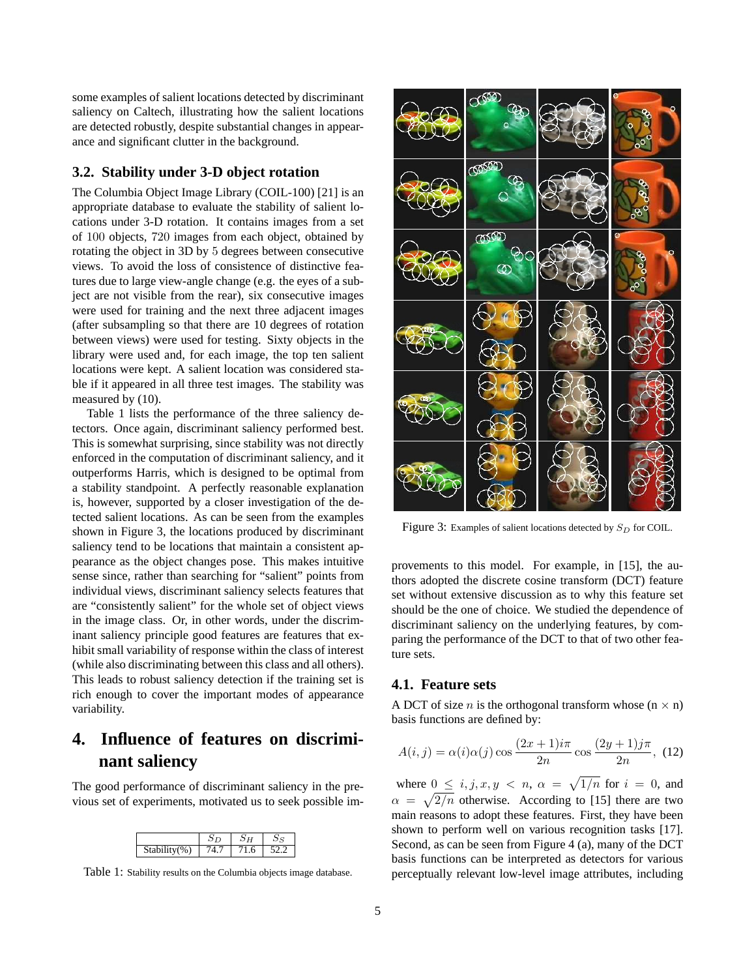some examples of salient locations detected by discriminant saliency on Caltech, illustrating how the salient locations are detected robustly, despite substantial changes in appearance and significant clutter in the background.

### **3.2. Stability under 3-D object rotation**

The Columbia Object Image Library (COIL-100) [21] is an appropriate database to evaluate the stability of salient locations under 3-D rotation. It contains images from a set of 100 objects, 720 images from each object, obtained by rotating the object in 3D by 5 degrees between consecutive views. To avoid the loss of consistence of distinctive features due to large view-angle change (e.g. the eyes of a subject are not visible from the rear), six consecutive images were used for training and the next three adjacent images (after subsampling so that there are 10 degrees of rotation between views) were used for testing. Sixty objects in the library were used and, for each image, the top ten salient locations were kept. A salient location was considered stable if it appeared in all three test images. The stability was measured by (10).

Table 1 lists the performance of the three saliency detectors. Once again, discriminant saliency performed best. This is somewhat surprising, since stability was not directly enforced in the computation of discriminant saliency, and it outperforms Harris, which is designed to be optimal from a stability standpoint. A perfectly reasonable explanation is, however, supported by a closer investigation of the detected salient locations. As can be seen from the examples shown in Figure 3, the locations produced by discriminant saliency tend to be locations that maintain a consistent appearance as the object changes pose. This makes intuitive sense since, rather than searching for "salient" points from individual views, discriminant saliency selects features that are "consistently salient" for the whole set of object views in the image class. Or, in other words, under the discriminant saliency principle good features are features that exhibit small variability of response within the class of interest (while also discriminating between this class and all others). This leads to robust saliency detection if the training set is rich enough to cover the important modes of appearance variability.

# **4. Influence of features on discriminant saliency**

The good performance of discriminant saliency in the previous set of experiments, motivated us to seek possible im-

| $Stability(\%)$ | h<br>т |  |
|-----------------|--------|--|

Table 1: Stability results on the Columbia objects image database.



Figure 3: Examples of salient locations detected by  $S_D$  for COIL.

provements to this model. For example, in [15], the authors adopted the discrete cosine transform (DCT) feature set without extensive discussion as to why this feature set should be the one of choice. We studied the dependence of discriminant saliency on the underlying features, by comparing the performance of the DCT to that of two other feature sets.

#### **4.1. Feature sets**

A DCT of size *n* is the orthogonal transform whose  $(n \times n)$ basis functions are defined by:

$$
A(i,j) = \alpha(i)\alpha(j)\cos\frac{(2x+1)i\pi}{2n}\cos\frac{(2y+1)j\pi}{2n},
$$
 (12)

where  $0 \leq i, j, x, y \leq n$ ,  $\alpha = \sqrt{1/n}$  for  $i = 0$ , and  $\alpha = \sqrt{2/n}$  otherwise. According to [15] there are two main reasons to adopt these features. First, they have been shown to perform well on various recognition tasks [17]. Second, as can be seen from Figure 4 (a), many of the DCT basis functions can be interpreted as detectors for various perceptually relevant low-level image attributes, including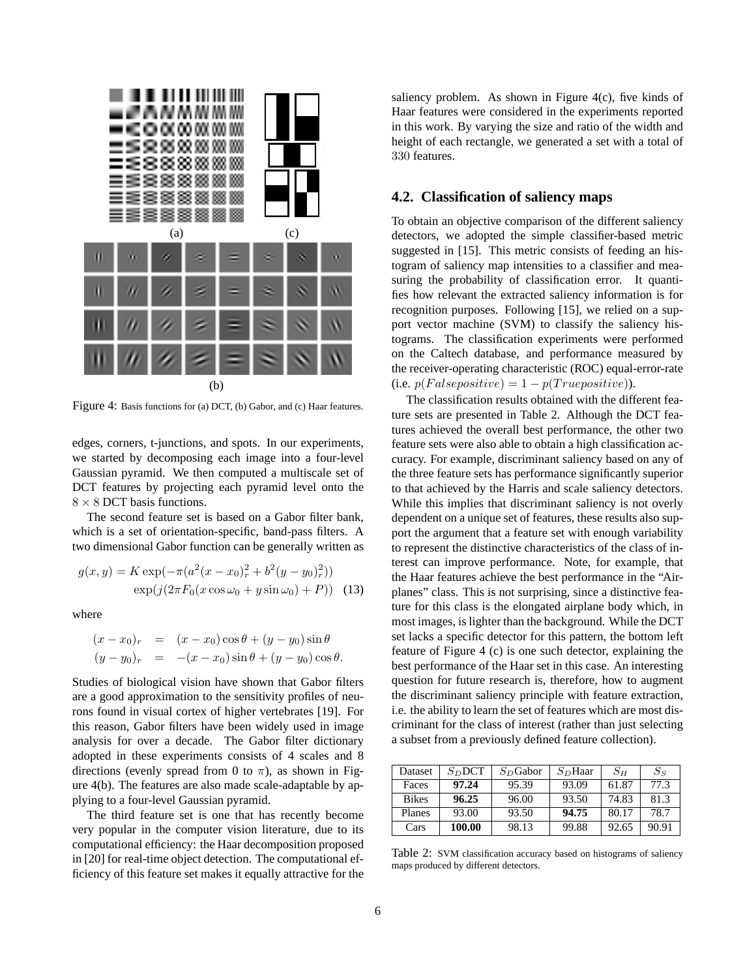

Figure 4: Basis functions for (a) DCT, (b) Gabor, and (c) Haar features.

edges, corners, t-junctions, and spots. In our experiments, we started by decomposing each image into a four-level Gaussian pyramid. We then computed a multiscale set of DCT features by projecting each pyramid level onto the  $8 \times 8$  DCT basis functions.

The second feature set is based on a Gabor filter bank, which is a set of orientation-specific, band-pass filters. A two dimensional Gabor function can be generally written as

$$
g(x, y) = K \exp(-\pi (a^2(x - x_0)_r^2 + b^2(y - y_0)_r^2))
$$
  
 
$$
\exp(j(2\pi F_0(x \cos \omega_0 + y \sin \omega_0) + P))
$$
 (13)

where

$$
(x - x_0)_r = (x - x_0) \cos \theta + (y - y_0) \sin \theta
$$
  

$$
(y - y_0)_r = -(x - x_0) \sin \theta + (y - y_0) \cos \theta.
$$

Studies of biological vision have shown that Gabor filters are a good approximation to the sensitivity profiles of neurons found in visual cortex of higher vertebrates [19]. For this reason, Gabor filters have been widely used in image analysis for over a decade. The Gabor filter dictionary adopted in these experiments consists of 4 scales and 8 directions (evenly spread from 0 to  $\pi$ ), as shown in Figure 4(b). The features are also made scale-adaptable by applying to a four-level Gaussian pyramid.

The third feature set is one that has recently become very popular in the computer vision literature, due to its computational efficiency: the Haar decomposition proposed in [20] for real-time object detection. The computational efficiency of this feature set makes it equally attractive for the

saliency problem. As shown in Figure 4(c), five kinds of Haar features were considered in the experiments reported in this work. By varying the size and ratio of the width and height of each rectangle, we generated a set with a total of 330 features.

## **4.2. Classification of saliency maps**

To obtain an objective comparison of the different saliency detectors, we adopted the simple classifier-based metric suggested in [15]. This metric consists of feeding an histogram of saliency map intensities to a classifier and measuring the probability of classification error. It quantifies how relevant the extracted saliency information is for recognition purposes. Following [15], we relied on a support vector machine (SVM) to classify the saliency histograms. The classification experiments were performed on the Caltech database, and performance measured by the receiver-operating characteristic (ROC) equal-error-rate (i.e.  $p(Falsepositive) = 1 - p(Truepositive)$ ).

The classification results obtained with the different feature sets are presented in Table 2. Although the DCT features achieved the overall best performance, the other two feature sets were also able to obtain a high classification accuracy. For example, discriminant saliency based on any of the three feature sets has performance significantly superior to that achieved by the Harris and scale saliency detectors. While this implies that discriminant saliency is not overly dependent on a unique set of features, these results also support the argument that a feature set with enough variability to represent the distinctive characteristics of the class of interest can improve performance. Note, for example, that the Haar features achieve the best performance in the "Airplanes" class. This is not surprising, since a distinctive feature for this class is the elongated airplane body which, in most images, is lighter than the background. While the DCT set lacks a specific detector for this pattern, the bottom left feature of Figure 4 (c) is one such detector, explaining the best performance of the Haar set in this case. An interesting question for future research is, therefore, how to augment the discriminant saliency principle with feature extraction, i.e. the ability to learn the set of features which are most discriminant for the class of interest (rather than just selecting a subset from a previously defined feature collection).

| Dataset      | S <sub>D</sub> DT | $S_D$ Gabor | S <sub>D</sub> Haar | $S_H$ | $S_S$ |
|--------------|-------------------|-------------|---------------------|-------|-------|
| Faces        | 97.24             | 95.39       | 93.09               | 61.87 | 77.3  |
| <b>Bikes</b> | 96.25             | 96.00       | 93.50               | 74.83 | 81.3  |
| Planes       | 93.00             | 93.50       | 94.75               | 80.17 | 78.7  |
| Cars         | 100.00            | 98.13       | 99.88               | 92.65 | 90.91 |

Table 2: SVM classification accuracy based on histograms of saliency maps produced by different detectors.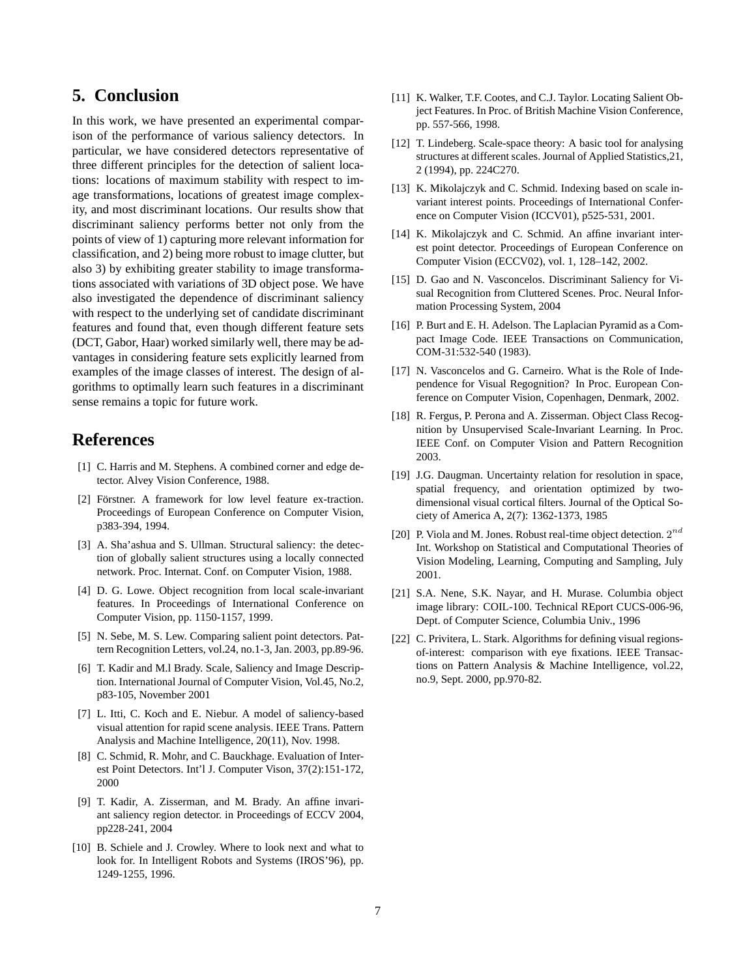# **5. Conclusion**

In this work, we have presented an experimental comparison of the performance of various saliency detectors. In particular, we have considered detectors representative of three different principles for the detection of salient locations: locations of maximum stability with respect to image transformations, locations of greatest image complexity, and most discriminant locations. Our results show that discriminant saliency performs better not only from the points of view of 1) capturing more relevant information for classification, and 2) being more robust to image clutter, but also 3) by exhibiting greater stability to image transformations associated with variations of 3D object pose. We have also investigated the dependence of discriminant saliency with respect to the underlying set of candidate discriminant features and found that, even though different feature sets (DCT, Gabor, Haar) worked similarly well, there may be advantages in considering feature sets explicitly learned from examples of the image classes of interest. The design of algorithms to optimally learn such features in a discriminant sense remains a topic for future work.

# **References**

- [1] C. Harris and M. Stephens. A combined corner and edge detector. Alvey Vision Conference, 1988.
- [2] Förstner. A framework for low level feature ex-traction. Proceedings of European Conference on Computer Vision, p383-394, 1994.
- [3] A. Sha'ashua and S. Ullman. Structural saliency: the detection of globally salient structures using a locally connected network. Proc. Internat. Conf. on Computer Vision, 1988.
- [4] D. G. Lowe. Object recognition from local scale-invariant features. In Proceedings of International Conference on Computer Vision, pp. 1150-1157, 1999.
- [5] N. Sebe, M. S. Lew. Comparing salient point detectors. Pattern Recognition Letters, vol.24, no.1-3, Jan. 2003, pp.89-96.
- [6] T. Kadir and M.l Brady. Scale, Saliency and Image Description. International Journal of Computer Vision, Vol.45, No.2, p83-105, November 2001
- [7] L. Itti, C. Koch and E. Niebur. A model of saliency-based visual attention for rapid scene analysis. IEEE Trans. Pattern Analysis and Machine Intelligence, 20(11), Nov. 1998.
- [8] C. Schmid, R. Mohr, and C. Bauckhage. Evaluation of Interest Point Detectors. Int'l J. Computer Vison, 37(2):151-172, 2000
- [9] T. Kadir, A. Zisserman, and M. Brady. An affine invariant saliency region detector. in Proceedings of ECCV 2004, pp228-241, 2004
- [10] B. Schiele and J. Crowley. Where to look next and what to look for. In Intelligent Robots and Systems (IROS'96), pp. 1249-1255, 1996.
- [11] K. Walker, T.F. Cootes, and C.J. Taylor. Locating Salient Object Features. In Proc. of British Machine Vision Conference, pp. 557-566, 1998.
- [12] T. Lindeberg. Scale-space theory: A basic tool for analysing structures at different scales. Journal of Applied Statistics,21, 2 (1994), pp. 224C270.
- [13] K. Mikolajczyk and C. Schmid. Indexing based on scale invariant interest points. Proceedings of International Conference on Computer Vision (ICCV01), p525-531, 2001.
- [14] K. Mikolajczyk and C. Schmid. An affine invariant interest point detector. Proceedings of European Conference on Computer Vision (ECCV02), vol. 1, 128–142, 2002.
- [15] D. Gao and N. Vasconcelos. Discriminant Saliency for Visual Recognition from Cluttered Scenes. Proc. Neural Information Processing System, 2004
- [16] P. Burt and E. H. Adelson. The Laplacian Pyramid as a Compact Image Code. IEEE Transactions on Communication, COM-31:532-540 (1983).
- [17] N. Vasconcelos and G. Carneiro. What is the Role of Independence for Visual Regognition? In Proc. European Conference on Computer Vision, Copenhagen, Denmark, 2002.
- [18] R. Fergus, P. Perona and A. Zisserman. Object Class Recognition by Unsupervised Scale-Invariant Learning. In Proc. IEEE Conf. on Computer Vision and Pattern Recognition 2003.
- [19] J.G. Daugman. Uncertainty relation for resolution in space, spatial frequency, and orientation optimized by twodimensional visual cortical filters. Journal of the Optical Society of America A, 2(7): 1362-1373, 1985
- [20] P. Viola and M. Jones. Robust real-time object detection.  $2^{nd}$ Int. Workshop on Statistical and Computational Theories of Vision Modeling, Learning, Computing and Sampling, July 2001.
- [21] S.A. Nene, S.K. Nayar, and H. Murase. Columbia object image library: COIL-100. Technical REport CUCS-006-96, Dept. of Computer Science, Columbia Univ., 1996
- [22] C. Privitera, L. Stark. Algorithms for defining visual regionsof-interest: comparison with eye fixations. IEEE Transactions on Pattern Analysis & Machine Intelligence, vol.22, no.9, Sept. 2000, pp.970-82.